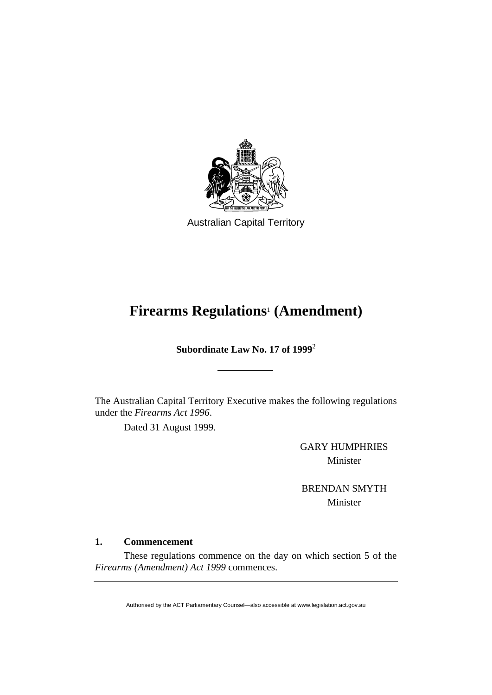

Australian Capital Territory

# **Firearms Regulations**<sup>1</sup>  **(Amendment)**

**Subordinate Law No. 17 of 1999**<sup>2</sup>

The Australian Capital Territory Executive makes the following regulations under the *Firearms Act 1996*.

Dated 31 August 1999.

GARY HUMPHRIES Minister

BRENDAN SMYTH Minister

# **1. Commencement**

 These regulations commence on the day on which section 5 of the *Firearms (Amendment) Act 1999* commences.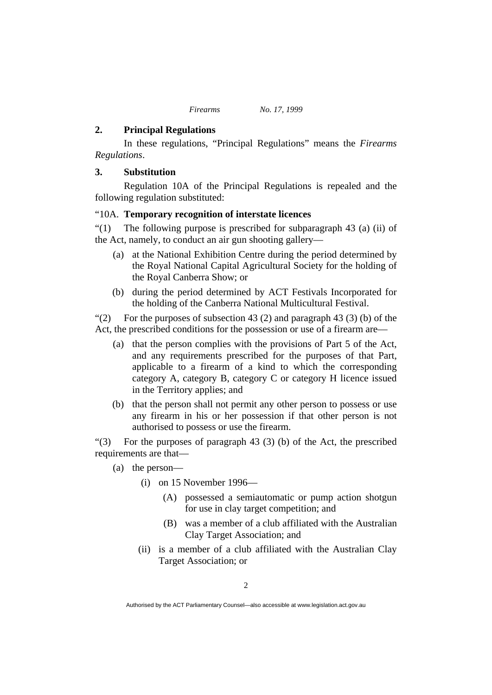# **2. Principal Regulations**

In these regulations, "Principal Regulations" means the *Firearms Regulations*.

# **3. Substitution**

 Regulation 10A of the Principal Regulations is repealed and the following regulation substituted:

# "10A. **Temporary recognition of interstate licences**

"(1) The following purpose is prescribed for subparagraph 43 (a) (ii) of the Act, namely, to conduct an air gun shooting gallery—

- (a) at the National Exhibition Centre during the period determined by the Royal National Capital Agricultural Society for the holding of the Royal Canberra Show; or
- (b) during the period determined by ACT Festivals Incorporated for the holding of the Canberra National Multicultural Festival.

"(2) For the purposes of subsection 43 (2) and paragraph 43 (3) (b) of the Act, the prescribed conditions for the possession or use of a firearm are—

- (a) that the person complies with the provisions of Part 5 of the Act, and any requirements prescribed for the purposes of that Part, applicable to a firearm of a kind to which the corresponding category A, category B, category C or category H licence issued in the Territory applies; and
- (b) that the person shall not permit any other person to possess or use any firearm in his or her possession if that other person is not authorised to possess or use the firearm.

"(3) For the purposes of paragraph 43 (3) (b) of the Act, the prescribed requirements are that—

- (a) the person—
	- (i) on 15 November 1996—
		- (A) possessed a semiautomatic or pump action shotgun for use in clay target competition; and
		- (B) was a member of a club affiliated with the Australian Clay Target Association; and
	- (ii) is a member of a club affiliated with the Australian Clay Target Association; or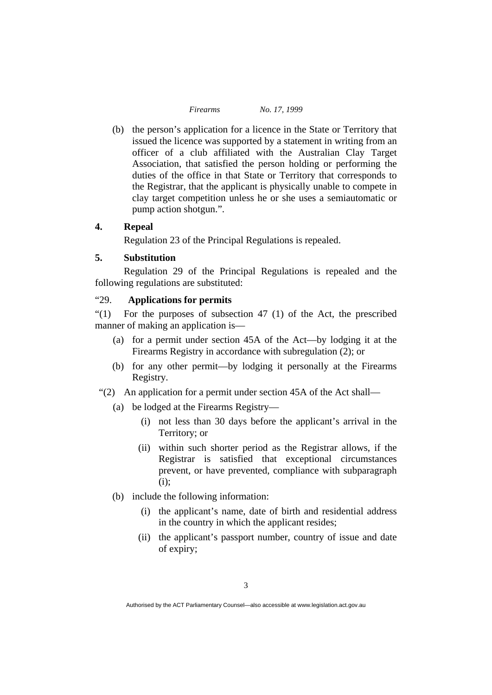(b) the person's application for a licence in the State or Territory that issued the licence was supported by a statement in writing from an officer of a club affiliated with the Australian Clay Target Association, that satisfied the person holding or performing the duties of the office in that State or Territory that corresponds to the Registrar, that the applicant is physically unable to compete in clay target competition unless he or she uses a semiautomatic or pump action shotgun.".

## **4. Repeal**

Regulation 23 of the Principal Regulations is repealed.

# **5. Substitution**

 Regulation 29 of the Principal Regulations is repealed and the following regulations are substituted:

# "29. **Applications for permits**

"(1) For the purposes of subsection  $47$  (1) of the Act, the prescribed manner of making an application is—

- (a) for a permit under section 45A of the Act—by lodging it at the Firearms Registry in accordance with subregulation (2); or
- (b) for any other permit—by lodging it personally at the Firearms Registry.
- "(2) An application for a permit under section 45A of the Act shall—
	- (a) be lodged at the Firearms Registry—
		- (i) not less than 30 days before the applicant's arrival in the Territory; or
		- (ii) within such shorter period as the Registrar allows, if the Registrar is satisfied that exceptional circumstances prevent, or have prevented, compliance with subparagraph (i);
	- (b) include the following information:
		- (i) the applicant's name, date of birth and residential address in the country in which the applicant resides;
		- (ii) the applicant's passport number, country of issue and date of expiry;

Authorised by the ACT Parliamentary Counsel—also accessible at www.legislation.act.gov.au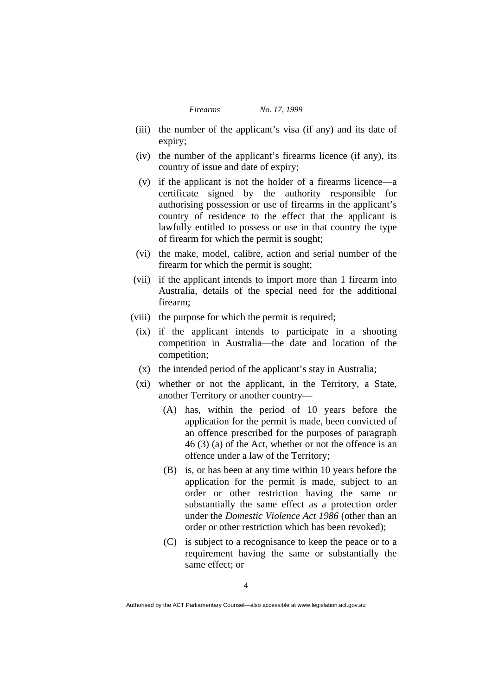- (iii) the number of the applicant's visa (if any) and its date of expiry;
- (iv) the number of the applicant's firearms licence (if any), its country of issue and date of expiry;
- (v) if the applicant is not the holder of a firearms licence—a certificate signed by the authority responsible for authorising possession or use of firearms in the applicant's country of residence to the effect that the applicant is lawfully entitled to possess or use in that country the type of firearm for which the permit is sought;
- (vi) the make, model, calibre, action and serial number of the firearm for which the permit is sought;
- (vii) if the applicant intends to import more than 1 firearm into Australia, details of the special need for the additional firearm;
- (viii) the purpose for which the permit is required;
	- (ix) if the applicant intends to participate in a shooting competition in Australia—the date and location of the competition;
	- (x) the intended period of the applicant's stay in Australia;
	- (xi) whether or not the applicant, in the Territory, a State, another Territory or another country—
		- (A) has, within the period of 10 years before the application for the permit is made, been convicted of an offence prescribed for the purposes of paragraph 46 (3) (a) of the Act, whether or not the offence is an offence under a law of the Territory;
		- (B) is, or has been at any time within 10 years before the application for the permit is made, subject to an order or other restriction having the same or substantially the same effect as a protection order under the *Domestic Violence Act 1986* (other than an order or other restriction which has been revoked);
		- (C) is subject to a recognisance to keep the peace or to a requirement having the same or substantially the same effect; or

Authorised by the ACT Parliamentary Counsel—also accessible at www.legislation.act.gov.au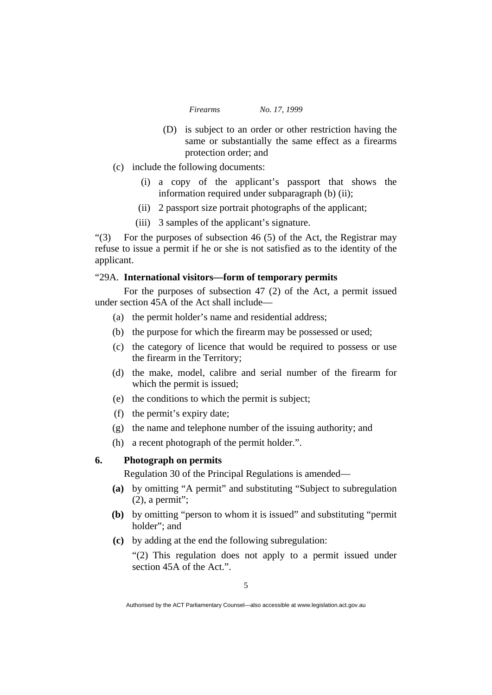- (D) is subject to an order or other restriction having the same or substantially the same effect as a firearms protection order; and
- (c) include the following documents:
	- (i) a copy of the applicant's passport that shows the information required under subparagraph (b) (ii);
	- (ii) 2 passport size portrait photographs of the applicant;
	- (iii) 3 samples of the applicant's signature.

"(3) For the purposes of subsection 46 (5) of the Act, the Registrar may refuse to issue a permit if he or she is not satisfied as to the identity of the applicant.

## "29A. **International visitors—form of temporary permits**

 For the purposes of subsection 47 (2) of the Act, a permit issued under section 45A of the Act shall include—

- (a) the permit holder's name and residential address;
- (b) the purpose for which the firearm may be possessed or used;
- (c) the category of licence that would be required to possess or use the firearm in the Territory;
- (d) the make, model, calibre and serial number of the firearm for which the permit is issued;
- (e) the conditions to which the permit is subject;
- (f) the permit's expiry date;
- (g) the name and telephone number of the issuing authority; and
- (h) a recent photograph of the permit holder.".

### **6. Photograph on permits**

Regulation 30 of the Principal Regulations is amended—

- **(a)** by omitting "A permit" and substituting "Subject to subregulation  $(2)$ , a permit";
- **(b)** by omitting "person to whom it is issued" and substituting "permit holder"; and
- **(c)** by adding at the end the following subregulation:

"(2) This regulation does not apply to a permit issued under section 45A of the Act.".

Authorised by the ACT Parliamentary Counsel—also accessible at www.legislation.act.gov.au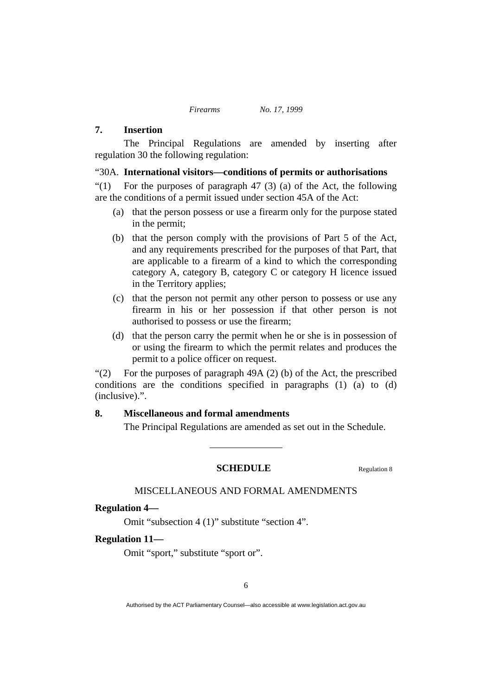# **7. Insertion**

 The Principal Regulations are amended by inserting after regulation 30 the following regulation:

#### "30A. **International visitors—conditions of permits or authorisations**

"(1) For the purposes of paragraph 47 (3) (a) of the Act, the following are the conditions of a permit issued under section 45A of the Act:

- (a) that the person possess or use a firearm only for the purpose stated in the permit;
- (b) that the person comply with the provisions of Part 5 of the Act, and any requirements prescribed for the purposes of that Part, that are applicable to a firearm of a kind to which the corresponding category A, category B, category C or category H licence issued in the Territory applies;
- (c) that the person not permit any other person to possess or use any firearm in his or her possession if that other person is not authorised to possess or use the firearm;
- (d) that the person carry the permit when he or she is in possession of or using the firearm to which the permit relates and produces the permit to a police officer on request.

"(2) For the purposes of paragraph 49A (2) (b) of the Act, the prescribed conditions are the conditions specified in paragraphs (1) (a) to (d) (inclusive).".

# **8. Miscellaneous and formal amendments**

The Principal Regulations are amended as set out in the Schedule.

#### **SCHEDULE** Regulation 8

# MISCELLANEOUS AND FORMAL AMENDMENTS

# **Regulation 4—**

Omit "subsection 4 (1)" substitute "section 4".

#### **Regulation 11—**

Omit "sport," substitute "sport or".